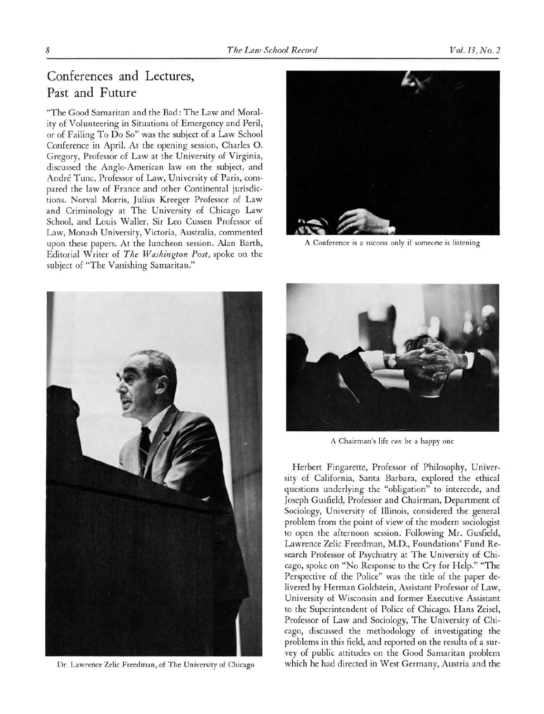## Conferences and Lectures, Past and Future

"The Good Samaritan and the Bad: The Law and Morality of Volunteering in Situations of Emergency and Peril, or of Failing To Do So" was the subject of <sup>a</sup> Law School Conference in April. At the opening session, Charles O. Gregory, Professor of Law at the University of Virginia, discussed the Anglo-American law on the subject, and André Tunc, Professor of Law, University of Paris, compared the law of France and other Continental jurisdictions. Norval Morris, Julius Kreeger Professor of Law and Criminology at The University of Chicago Law School, and Louis Waller, Sir Leo Cussen Professor of Law, Monash University, Victoria, Australia, commented upon these papers. At the luncheon session. Alan Barth, Editorial Writer of The Washington Post, spoke on the subject of "The Vanishing Samaritan."



A Conference is <sup>a</sup> success only if someone is listening



Dr. Lawrence Zelie Freedman, of The University of Chicago



A Chairman's life can be <sup>a</sup> happy one

Herbert Fingarette, Professor of Philosophy, University of California, Santa Barbara, explored the ethical questions underlying the "obligation" to intercede, and Joseph Gusfield, Professor and Chairman, Department of Sociology, University of Illinois, considered the general problem from the point of view of the modern sociologist to open the afternoon session. Following Mr. Gusfield, Lawrence Zelie Freedman, MD., Foundations' Fund Research Professor of Psychiatry at The University of Chicago, spoke on "No Response to the Cry for Help." "The Perspective of the Police" was the title of the paper delivered by Herman Goldstein, Assistant Professor of Law, University of Wisconsin and former Executive Assistant to the Superintendent of Police of Chicago. Hans Zeisel, Professor of Law and Sociology, The University of Chicago, discussed the methodology of investigating the problems in this field, and reported on the results of <sup>a</sup> survey of public attitudes on the Good Samaritan problem which he had directed in West Germany, Austria and the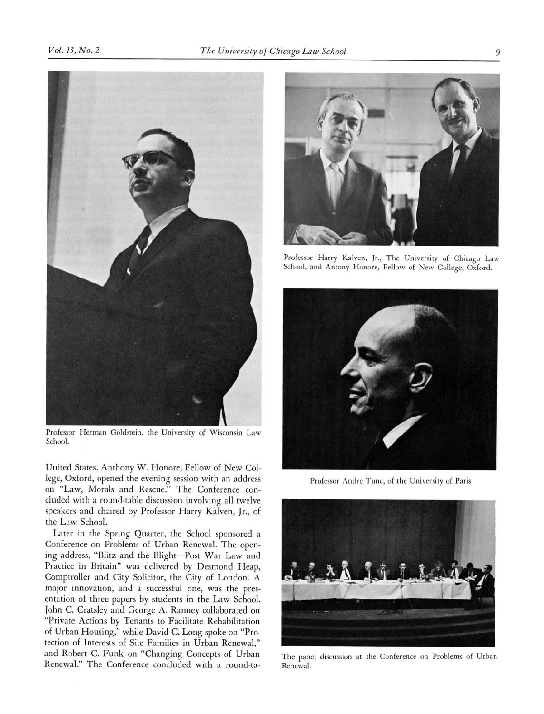

Professor Herman Goldstein, the University of Wisconsin Law School.

United States. Anthony W. Honore, Fellow of New College, Oxford, opened the evening session with an address on "Law, Morals and Rescue." The Conference concluded with <sup>a</sup> round-table discussion involving all twelve speakers and chaired by Professor Harry Kalven, Jr., of the Law School.

Later in the Spring Quarter, the School sponsored <sup>a</sup> Conference on Problems of Urban Renewal. The open� ing address, "Blitz and the Blight-Post War Law and Practice in Britain" was delivered by Desmond Heap, Comptroller and City Solicitor, the City of London. A major innovation, and a successful one, was the presentation of three papers by students in the Law School. John C. Cratsley and George A. Ranney collaborated on "Private Actions by Tenants to Facilitate Rehabilitation of Urban Housing," while David C. Long spoke on "Protection of Interests of Site Families in Urban Renewal," and Robert C. Funk on "Changing Concepts of Urban Renewal." The Conference concluded with a round-ta-



Professor Harry Kalven, Jr., The University of Chicago Law School, and Antony Honore, Fellow of New College, Oxford.



Professor Andre Tunc, of the University of Paris



The panel discussion at the Conference on Problems of Urban Renewal.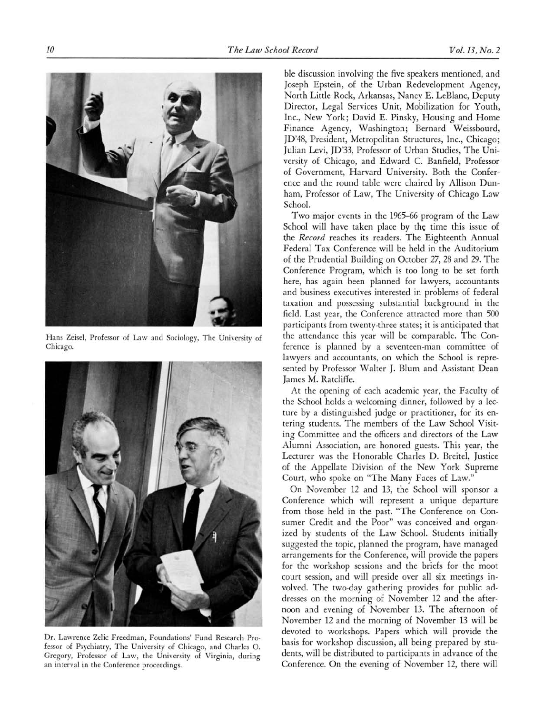

Hans Zeisel, Professor of Law and Sociology, The University of Chicago.



Dr. Lawrence Zelie Freedman, Foundations' Fund Research Professor of Psychiatry, The University of Chicago, and Charles O. Gregory, Professor of Law, the University of Virginia, during an interval in the Conference proceedings.

ble discussion involving the five speakers mentioned, and Joseph Epstein, of the Urban Redevelopment Agency, North Little Rock, Arkansas, Nancy E. LeBlanc, Deputy Director, Legal Services Unit, Mobilization for Youth, Inc., New York; David E. Pinsky, Housing and Home Finance Agency, Washington; Bernard Weissbourd, JD'48, President, Metropolitan Structures, Inc., Chicago; Julian Levi, JD'33, Professor of Urban Studies, The University of Chicago, and Edward C. Banfield, Professor of Government, Harvard University. Both the Conference and the round table were chaired by Allison Dunham, Professor of Law, The University of Chicago Law School.

Two major events in the 1965-66 program of the Law School will have taken place by the time this issue of the Record reaches its readers. The Eighteenth Annual Federal Tax Conference will be held in the Auditorium of the Prudential Building on October 27, <sup>28</sup> and 29. The Conference Program, which is too long to be set forth here, has again been planned for lawyers, accountants and business executives interested in problems of federal taxation and possessing substantial background in the field. Last year, the Conference attracted more than <sup>500</sup> participants from twenty-three states; it is anticipated that the attendance this year will be comparable. The Conference is planned by <sup>a</sup> seventeen-man committee of lawyers and accountants, on which the School is represented by Professor Walter J. Blum and Assistant Dean James M. Ratcliffe.

At the opening of each academic year, the Faculty of the School holds <sup>a</sup> welcoming dinner, followed by <sup>a</sup> lecture by <sup>a</sup> distinguished judge or practitioner, for its entering students. The members of the Law School Visiting Committee and the officers and directors of the Law Alumni Association, are honored guests. This year, the Lecturer was the Honorable Charles D. Breitel, Justice of the Appellate Division of the New York Supreme Court, who spoke on "The Many Faces of Law."

On November <sup>12</sup> and 13, the School will sponsor <sup>a</sup> Conference which will represent <sup>a</sup> unique departure from those held in the past. "The Conference on Consumer Credit and the Poor" was conceived and organized by students of the Law School. Students initially suggested the topic, planned the program, have managed arrangements for the Conference, will provide the papers for the workshop sessions and the briefs for the moot court session, and will preside over all six meetings involved. The two-day gathering provides for public addresses on the morning of November <sup>12</sup> and the afternoon and evening of November 13. The afternoon of November <sup>12</sup> and the morning of November <sup>13</sup> will be devoted to workshops. Papers which will provide the basis for workshop discussion, all being prepared by students, will be distributed to participants in advance of the Conference. On the evening of November 12, there will